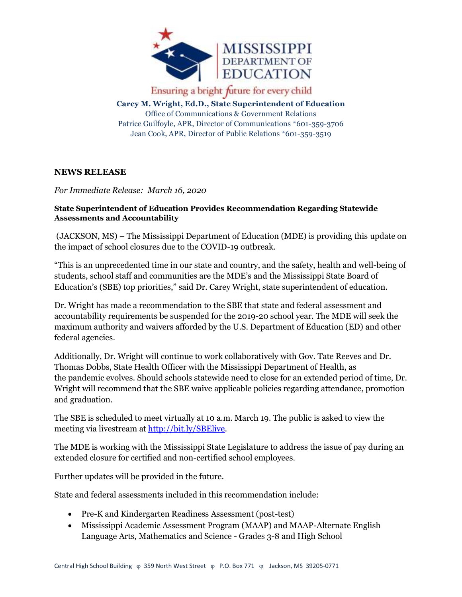

Ensuring a bright future for every child

**Carey M. Wright, Ed.D., State Superintendent of Education** Office of Communications & Government Relations Patrice Guilfoyle, APR, Director of Communications \*601-359-3706 Jean Cook, APR, Director of Public Relations \*601-359-3519

## **NEWS RELEASE**

*For Immediate Release: March 16, 2020*

## **State Superintendent of Education Provides Recommendation Regarding Statewide Assessments and Accountability**

(JACKSON, MS) – The Mississippi Department of Education (MDE) is providing this update on the impact of school closures due to the COVID-19 outbreak.

"This is an unprecedented time in our state and country, and the safety, health and well-being of students, school staff and communities are the MDE's and the Mississippi State Board of Education's (SBE) top priorities," said Dr. Carey Wright, state superintendent of education.

Dr. Wright has made a recommendation to the SBE that state and federal assessment and accountability requirements be suspended for the 2019-20 school year. The MDE will seek the maximum authority and waivers afforded by the U.S. Department of Education (ED) and other federal agencies.

Additionally, Dr. Wright will continue to work collaboratively with Gov. Tate Reeves and Dr. Thomas Dobbs, State Health Officer with the Mississippi Department of Health, as the pandemic evolves. Should schools statewide need to close for an extended period of time, Dr. Wright will recommend that the SBE waive applicable policies regarding attendance, promotion and graduation.

The SBE is scheduled to meet virtually at 10 a.m. March 19. The public is asked to view the meeting via livestream at [http://bit.ly/SBElive.](http://bit.ly/SBElive)

The MDE is working with the Mississippi State Legislature to address the issue of pay during an extended closure for certified and non-certified school employees.

Further updates will be provided in the future.

State and federal assessments included in this recommendation include:

- Pre-K and Kindergarten Readiness Assessment (post-test)
- Mississippi Academic Assessment Program (MAAP) and MAAP-Alternate English Language Arts, Mathematics and Science - Grades 3-8 and High School